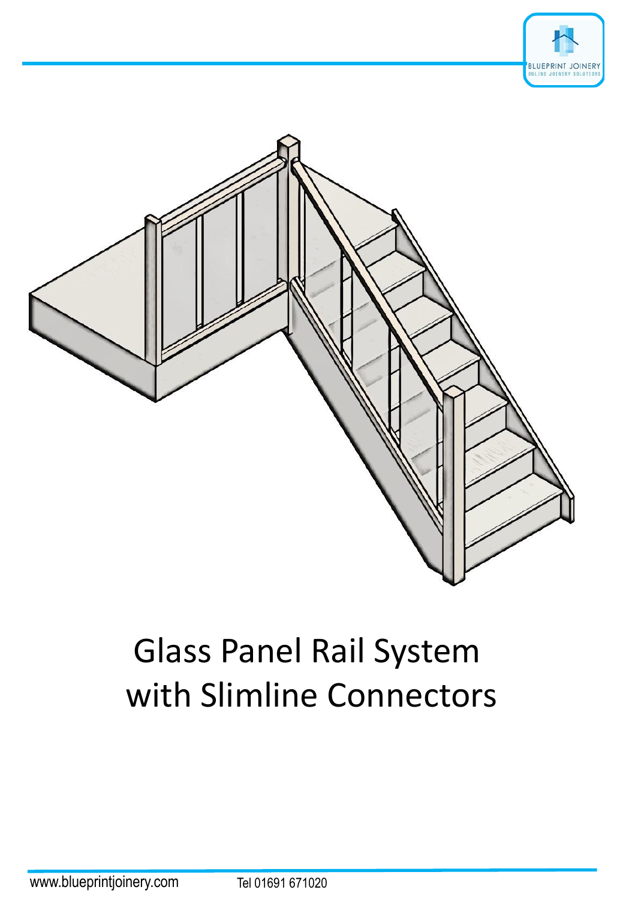



# Glass Panel Rail System with Slimline Connectors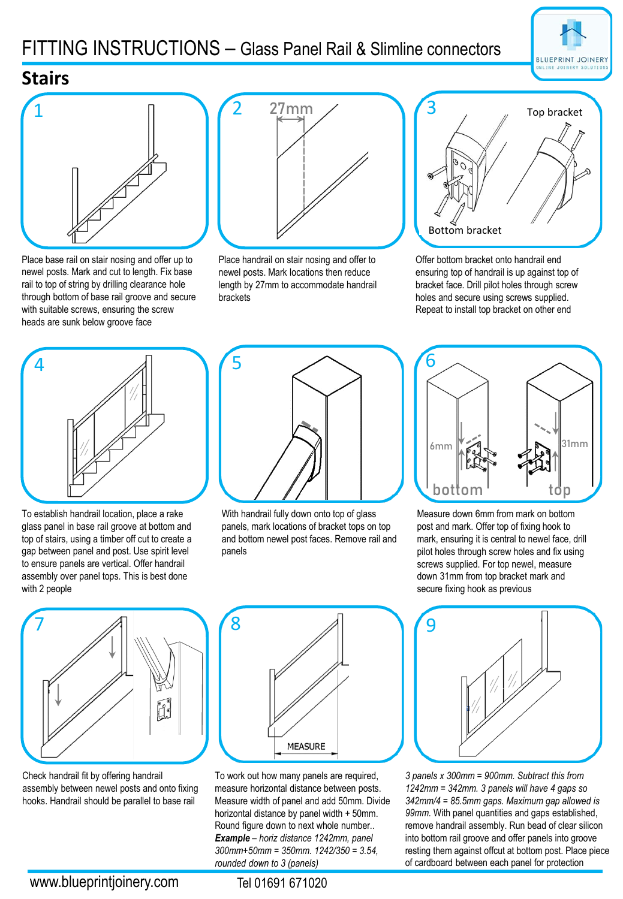## FITTING INSTRUCTIONS – Glass Panel Rail & Slimline connectors



#### **Stairs**



Place base rail on stair nosing and offer up to newel posts. Mark and cut to length. Fix base rail to top of string by drilling clearance hole through bottom of base rail groove and secure with suitable screws, ensuring the screw heads are sunk below groove face



Place handrail on stair nosing and offer to newel posts. Mark locations then reduce length by 27mm to accommodate handrail brackets



Offer bottom bracket onto handrail end ensuring top of handrail is up against top of bracket face. Drill pilot holes through screw holes and secure using screws supplied. Repeat to install top bracket on other end



To establish handrail location, place a rake glass panel in base rail groove at bottom and top of stairs, using a timber off cut to create a gap between panel and post. Use spirit level to ensure panels are vertical. Offer handrail assembly over panel tops. This is best done with 2 people



With handrail fully down onto top of glass panels, mark locations of bracket tops on top and bottom newel post faces. Remove rail and panels



Measure down 6mm from mark on bottom post and mark. Offer top of fixing hook to mark, ensuring it is central to newel face, drill pilot holes through screw holes and fix using screws supplied. For top newel, measure down 31mm from top bracket mark and secure fixing hook as previous



Check handrail fit by offering handrail assembly between newel posts and onto fixing hooks. Handrail should be parallel to base rail



To work out how many panels are required, measure horizontal distance between posts. Measure width of panel and add 50mm. Divide horizontal distance by panel width + 50mm. Round figure down to next whole number.. *Example – horiz distance 1242mm, panel 300mm+50mm = 350mm. 1242/350 = 3.54, rounded down to 3 (panels)*



*3 panels x 300mm = 900mm. Subtract this from 1242mm = 342mm. 3 panels will have 4 gaps so 342mm/4 = 85.5mm gaps. Maximum gap allowed is 99mm.* With panel quantities and gaps established, remove handrail assembly. Run bead of clear silicon into bottom rail groove and offer panels into groove resting them against offcut at bottom post. Place piece of cardboard between each panel for protection

Tel 01691 671020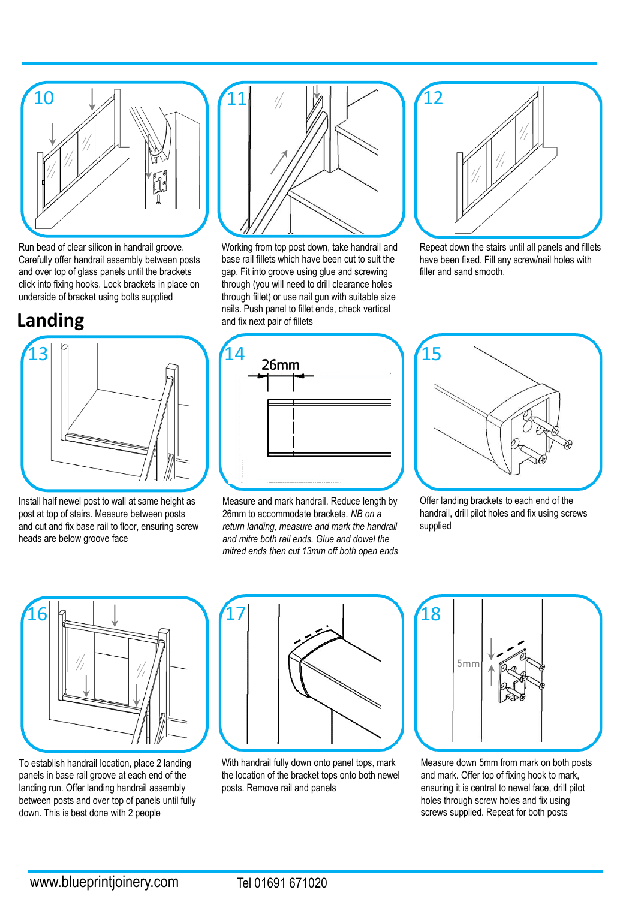

Run bead of clear silicon in handrail groove. Carefully offer handrail assembly between posts and over top of glass panels until the brackets click into fixing hooks. Lock brackets in place on underside of bracket using bolts supplied

## **Landing**



Install half newel post to wall at same height as post at top of stairs. Measure between posts and cut and fix base rail to floor, ensuring screw heads are below groove face



Working from top post down, take handrail and base rail fillets which have been cut to suit the gap. Fit into groove using glue and screwing through (you will need to drill clearance holes through fillet) or use nail gun with suitable size nails. Push panel to fillet ends, check vertical and fix next pair of fillets



Repeat down the stairs until all panels and fillets have been fixed. Fill any screw/nail holes with filler and sand smooth.



Measure and mark handrail. Reduce length by 26mm to accommodate brackets. *NB on a return landing, measure and mark the handrail and mitre both rail ends. Glue and dowel the mitred ends then cut 13mm off both open ends*



Offer landing brackets to each end of the handrail, drill pilot holes and fix using screws supplied



To establish handrail location, place 2 landing panels in base rail groove at each end of the landing run. Offer landing handrail assembly between posts and over top of panels until fully down. This is best done with 2 people



With handrail fully down onto panel tops, mark the location of the bracket tops onto both newel posts. Remove rail and panels



Measure down 5mm from mark on both posts and mark. Offer top of fixing hook to mark, ensuring it is central to newel face, drill pilot holes through screw holes and fix using screws supplied. Repeat for both posts